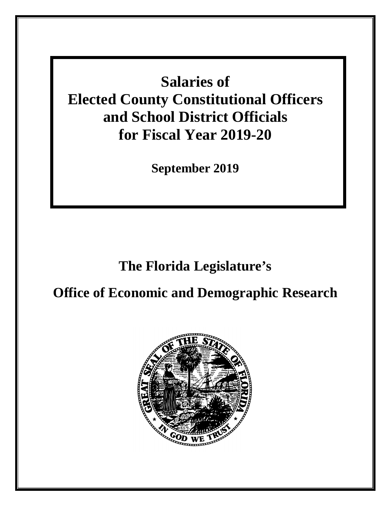**Salaries of Elected County Constitutional Officers and School District Officials for Fiscal Year 2019-20**

**September 2019**

# **The Florida Legislature's**

# **Office of Economic and Demographic Research**

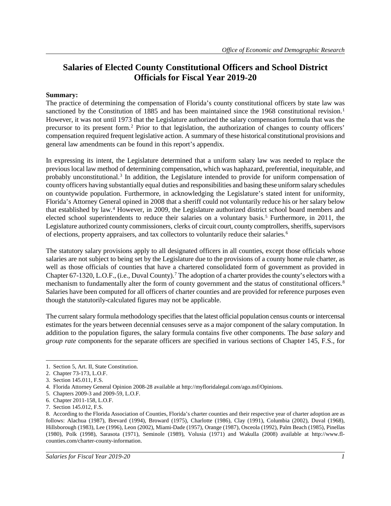# **Salaries of Elected County Constitutional Officers and School District Officials for Fiscal Year 2019-20**

#### **Summary:**

The practice of determining the compensation of Florida's county constitutional officers by state law was sanctioned by the Constitution of [1](#page-2-0)885 and has been maintained since the 1968 constitutional revision.<sup>1</sup> However, it was not until 1973 that the Legislature authorized the salary compensation formula that was the precursor to its present form. [2](#page-2-1) Prior to that legislation, the authorization of changes to county officers' compensation required frequent legislative action. A summary of these historical constitutional provisions and general law amendments can be found in this report's appendix.

In expressing its intent, the Legislature determined that a uniform salary law was needed to replace the previous local law method of determining compensation, which was haphazard, preferential, inequitable, and probably unconstitutional.[3](#page-2-2) In addition, the Legislature intended to provide for uniform compensation of county officers having substantially equal duties and responsibilities and basing these uniform salary schedules on countywide population. Furthermore, in acknowledging the Legislature's stated intent for uniformity, Florida's Attorney General opined in 2008 that a sheriff could not voluntarily reduce his or her salary below that established by law. [4](#page-2-3) However, in 2009, the Legislature authorized district school board members and elected school superintendents to reduce their salaries on a voluntary basis.<sup>[5](#page-2-4)</sup> Furthermore, in 2011, the Legislature authorized county commissioners, clerks of circuit court, county comptrollers, sheriffs, supervisors of elections, property appraisers, and tax collectors to voluntarily reduce their salaries. [6](#page-2-5)

The statutory salary provisions apply to all designated officers in all counties, except those officials whose salaries are not subject to being set by the Legislature due to the provisions of a county home rule charter, as well as those officials of counties that have a chartered consolidated form of government as provided in Chapter 67-1320, L.O.F., (i.e., Duval County). [7](#page-2-6) The adoption of a charter provides the county's electors with a mechanism to fundamentally alter the form of county government and the status of constitutional officers.<sup>[8](#page-2-7)</sup> Salaries have been computed for all officers of charter counties and are provided for reference purposes even though the statutorily-calculated figures may not be applicable.

The current salary formula methodology specifies that the latest official population census counts or intercensal estimates for the years between decennial censuses serve as a major component of the salary computation. In addition to the population figures, the salary formula contains five other components. The *base salary* and *group rate* components for the separate officers are specified in various sections of Chapter 145, F.S., for

<span id="page-2-0"></span> $\overline{a}$ 1. Section 5, Art. II, State Constitution.

<span id="page-2-1"></span><sup>2.</sup> Chapter 73-173, L.O.F.

<span id="page-2-2"></span><sup>3.</sup> Section 145.011, F.S.

<span id="page-2-3"></span><sup>4.</sup> Florida Attorney General Opinion 2008-28 available at http://myfloridalegal.com/ago.nsf/Opinions.

<span id="page-2-4"></span><sup>5.</sup> Chapters 2009-3 and 2009-59, L.O.F.

<span id="page-2-5"></span><sup>6.</sup> Chapter 2011-158, L.O.F.

<span id="page-2-6"></span><sup>7.</sup> Section 145.012, F.S.

<span id="page-2-7"></span><sup>8.</sup> According to the Florida Association of Counties, Florida's charter counties and their respective year of charter adoption are as follows: Alachua (1987), Brevard (1994), Broward (1975), Charlotte (1986), Clay (1991), Columbia (2002), Duval (1968), Hillsborough (1983), Lee (1996), Leon (2002), Miami-Dade (1957), Orange (1987), Osceola (1992), Palm Beach (1985), Pinellas (1980), Polk (1998), Sarasota (1971), Seminole (1989), Volusia (1971) and Wakulla (2008) available at http://www.flcounties.com/charter-county-information.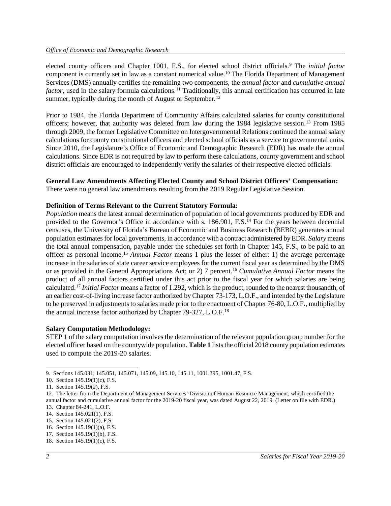elected county officers and Chapter 1001, F.S., for elected school district officials. [9](#page-3-0) The *initial factor* component is currently set in law as a constant numerical value. [10](#page-3-1) The Florida Department of Management Services (DMS) annually certifies the remaining two components, the *annual factor* and *cumulative annual factor*, used in the salary formula calculations. [11](#page-3-2) Traditionally, this annual certification has occurred in late summer, typically during the month of August or September.<sup>[12](#page-3-3)</sup>

Prior to 1984, the Florida Department of Community Affairs calculated salaries for county constitutional officers; however, that authority was deleted from law during the 1984 legislative session.[13](#page-3-4) From 1985 through 2009, the former Legislative Committee on Intergovernmental Relations continued the annual salary calculations for county constitutional officers and elected school officials as a service to governmental units. Since 2010, the Legislature's Office of Economic and Demographic Research (EDR) has made the annual calculations. Since EDR is not required by law to perform these calculations, county government and school district officials are encouraged to independently verify the salaries of their respective elected officials.

#### **General Law Amendments Affecting Elected County and School District Officers' Compensation:**

There were no general law amendments resulting from the 2019 Regular Legislative Session.

#### **Definition of Terms Relevant to the Current Statutory Formula:**

*Population* means the latest annual determination of population of local governments produced by EDR and provided to the Governor's Office in accordance with s. 186.901, F.S.<sup>[14](#page-3-5)</sup> For the years between decennial censuses, the University of Florida's Bureau of Economic and Business Research (BEBR) generates annual population estimates for local governments, in accordance with a contract administered by EDR. *Salary* means the total annual compensation, payable under the schedules set forth in Chapter 145, F.S., to be paid to an officer as personal income.[15](#page-3-6) *Annual Factor* means 1 plus the lesser of either: 1) the average percentage increase in the salaries of state career service employees for the current fiscal year as determined by the DMS or as provided in the General Appropriations Act; or 2) 7 percent.[16](#page-3-7) *Cumulative Annual Factor* means the product of all annual factors certified under this act prior to the fiscal year for which salaries are being calculated.[17](#page-3-8) *Initial Factor* means a factor of 1.292, which is the product, rounded to the nearest thousandth, of an earlier cost-of-living increase factor authorized by Chapter 73-173, L.O.F., and intended by the Legislature to be preserved in adjustments to salaries made prior to the enactment of Chapter 76-80, L.O.F., multiplied by the annual increase factor authorized by Chapter 79-327, L.O.F.[18](#page-3-9)

#### **Salary Computation Methodology:**

STEP 1 of the salary computation involves the determination of the relevant population group number for the elected officer based on the countywide population. **Table 1** lists the official 2018 county population estimates used to compute the 2019-20 salaries.

<span id="page-3-0"></span> $\overline{a}$ 9. Sections 145.031, 145.051, 145.071, 145.09, 145.10, 145.11, 1001.395, 1001.47, F.S.

<span id="page-3-1"></span><sup>10.</sup> Section 145.19(1)(c), F.S.

<span id="page-3-2"></span><sup>11.</sup> Section 145.19(2), F.S.

<span id="page-3-3"></span><sup>12.</sup> The letter from the Department of Management Services' Division of Human Resource Management, which certified the annual factor and cumulative annual factor for the 2019-20 fiscal year, was dated August 22, 2019. (Letter on file with EDR.)

<span id="page-3-5"></span><span id="page-3-4"></span><sup>13.</sup> Chapter 84-241, L.O.F.

<sup>14.</sup> Section 145.021(1), F.S.

<span id="page-3-7"></span><span id="page-3-6"></span><sup>15.</sup> Section 145.021(2), F.S.

<sup>16.</sup> Section 145.19(1)(a), F.S.

<span id="page-3-8"></span><sup>17.</sup> Section 145.19(1)(b), F.S.

<span id="page-3-9"></span><sup>18.</sup> Section 145.19(1)(c), F.S.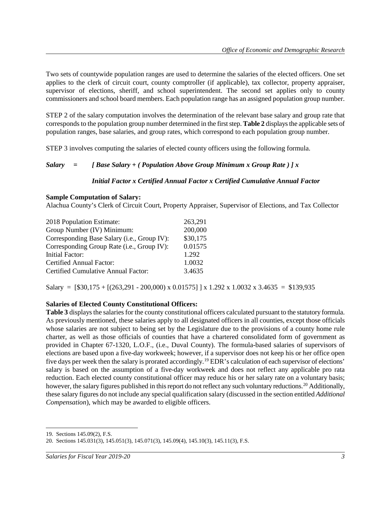Two sets of countywide population ranges are used to determine the salaries of the elected officers. One set applies to the clerk of circuit court, county comptroller (if applicable), tax collector, property appraiser, supervisor of elections, sheriff, and school superintendent. The second set applies only to county commissioners and school board members. Each population range has an assigned population group number.

STEP 2 of the salary computation involves the determination of the relevant base salary and group rate that corresponds to the population group number determined in the first step. **Table 2** displays the applicable sets of population ranges, base salaries, and group rates, which correspond to each population group number.

STEP 3 involves computing the salaries of elected county officers using the following formula.

#### *Salary = [ Base Salary + ( Population Above Group Minimum x Group Rate ) ] x*

#### *Initial Factor x Certified Annual Factor x Certified Cumulative Annual Factor*

#### **Sample Computation of Salary:**

Alachua County's Clerk of Circuit Court, Property Appraiser, Supervisor of Elections, and Tax Collector

| 2018 Population Estimate:                   | 263,291  |
|---------------------------------------------|----------|
| Group Number (IV) Minimum:                  | 200,000  |
| Corresponding Base Salary (i.e., Group IV): | \$30,175 |
| Corresponding Group Rate (i.e., Group IV):  | 0.01575  |
| Initial Factor:                             | 1.292    |
| Certified Annual Factor:                    | 1.0032   |
| Certified Cumulative Annual Factor:         | 3.4635   |

Salary =  $[$30,175 + [(263,291 - 200,000) \times 0.01575] \times 1.292 \times 1.0032 \times 3.4635 = $139,935$ 

#### **Salaries of Elected County Constitutional Officers:**

**Table 3** displays the salaries for the county constitutional officers calculated pursuant to the statutory formula. As previously mentioned, these salaries apply to all designated officers in all counties, except those officials whose salaries are not subject to being set by the Legislature due to the provisions of a county home rule charter, as well as those officials of counties that have a chartered consolidated form of government as provided in Chapter 67-1320, L.O.F., (i.e., Duval County). The formula-based salaries of supervisors of elections are based upon a five-day workweek; however, if a supervisor does not keep his or her office open five days per week then the salary is prorated accordingly.[19](#page-4-0) EDR's calculation of each supervisor of elections' salary is based on the assumption of a five-day workweek and does not reflect any applicable pro rata reduction. Each elected county constitutional officer may reduce his or her salary rate on a voluntary basis; however, the salary figures published in this report do not reflect any such voluntary reductions.<sup>[20](#page-4-1)</sup> Additionally, these salary figures do not include any special qualification salary (discussed in the section entitled *Additional Compensation*), which may be awarded to eligible officers.

*Salaries for Fiscal Year 2019-20 3*

 $\overline{a}$ 19. Sections 145.09(2), F.S.

<span id="page-4-1"></span><span id="page-4-0"></span><sup>20.</sup> Sections 145.031(3), 145.051(3), 145.071(3), 145.09(4), 145.10(3), 145.11(3), F.S.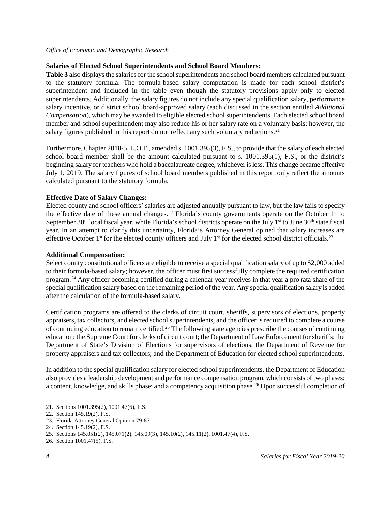#### **Salaries of Elected School Superintendents and School Board Members:**

**Table 3** also displays the salaries for the school superintendents and school board members calculated pursuant to the statutory formula. The formula-based salary computation is made for each school district's superintendent and included in the table even though the statutory provisions apply only to elected superintendents. Additionally, the salary figures do not include any special qualification salary, performance salary incentive, or district school board-approved salary (each discussed in the section entitled *Additional Compensation*), which may be awarded to eligible elected school superintendents. Each elected school board member and school superintendent may also reduce his or her salary rate on a voluntary basis; however, the salary figures published in this report do not reflect any such voluntary reductions.<sup>[21](#page-5-0)</sup>

Furthermore, Chapter 2018-5, L.O.F., amended s. 1001.395(3), F.S., to provide that the salary of each elected school board member shall be the amount calculated pursuant to s. 1001.395(1), F.S., or the district's beginning salary for teachers who hold a baccalaureate degree, whichever is less. This change became effective July 1, 2019. The salary figures of school board members published in this report only reflect the amounts calculated pursuant to the statutory formula.

#### **Effective Date of Salary Changes:**

Elected county and school officers' salaries are adjusted annually pursuant to law, but the law fails to specify the effective date of these annual changes.<sup>[22](#page-5-1)</sup> Florida's county governments operate on the October  $1<sup>st</sup>$  to September  $30<sup>th</sup>$  local fiscal year, while Florida's school districts operate on the July 1<sup>st</sup> to June  $30<sup>th</sup>$  state fiscal year. In an attempt to clarify this uncertainty, Florida's Attorney General opined that salary increases are effective October  $1<sup>st</sup>$  for the elected county officers and July  $1<sup>st</sup>$  for the elected school district officials.<sup>[23](#page-5-2)</sup>

#### **Additional Compensation:**

Select county constitutional officers are eligible to receive a special qualification salary of up to \$2,000 added to their formula-based salary; however, the officer must first successfully complete the required certification program.[24](#page-5-3) Any officer becoming certified during a calendar year receives in that year a pro rata share of the special qualification salary based on the remaining period of the year. Any special qualification salary is added after the calculation of the formula-based salary.

Certification programs are offered to the clerks of circuit court, sheriffs, supervisors of elections, property appraisers, tax collectors, and elected school superintendents, and the officer is required to complete a course of continuing education to remain certified.[25](#page-5-4) The following state agencies prescribe the courses of continuing education: the Supreme Court for clerks of circuit court; the Department of Law Enforcement for sheriffs; the Department of State's Division of Elections for supervisors of elections; the Department of Revenue for property appraisers and tax collectors; and the Department of Education for elected school superintendents.

In addition to the special qualification salary for elected school superintendents, the Department of Education also provides a leadership development and performance compensation program, which consists of two phases: a content, knowledge, and skills phase; and a competency acquisition phase. [26](#page-5-5) Upon successful completion of

 $\overline{a}$ 

<span id="page-5-0"></span><sup>21.</sup> Sections 1001.395(2), 1001.47(6), F.S.

<span id="page-5-1"></span><sup>22.</sup> Section 145.19(2), F.S.

<span id="page-5-2"></span><sup>23.</sup> Florida Attorney General Opinion 79-87.

<span id="page-5-3"></span><sup>24.</sup> Section 145.19(2), F.S.

<span id="page-5-4"></span><sup>25.</sup> Sections 145.051(2), 145.071(2), 145.09(3), 145.10(2), 145.11(2), 1001.47(4), F.S.

<span id="page-5-5"></span><sup>26.</sup> Section 1001.47(5), F.S.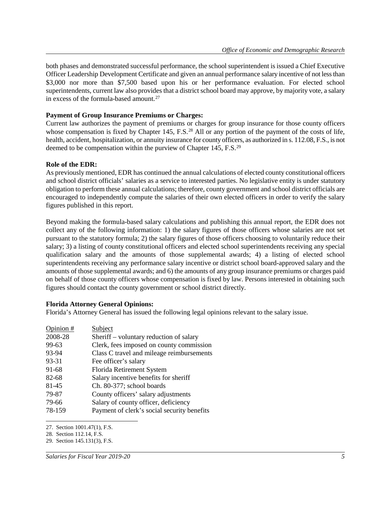both phases and demonstrated successful performance, the school superintendent is issued a Chief Executive Officer Leadership Development Certificate and given an annual performance salary incentive of not less than \$3,000 nor more than \$7,500 based upon his or her performance evaluation. For elected school superintendents, current law also provides that a district school board may approve, by majority vote, a salary in excess of the formula-based amount. [27](#page-6-0)

#### **Payment of Group Insurance Premiums or Charges:**

Current law authorizes the payment of premiums or charges for group insurance for those county officers whose compensation is fixed by Chapter 145, F.S.<sup>[28](#page-6-1)</sup> All or any portion of the payment of the costs of life, health, accident, hospitalization, or annuity insurance for county officers, as authorized in s. 112.08, F.S., is not deemed to be compensation within the purview of Chapter 145, F.S.<sup>[29](#page-6-2)</sup>

#### **Role of the EDR:**

As previously mentioned, EDR has continued the annual calculations of elected county constitutional officers and school district officials' salaries as a service to interested parties. No legislative entity is under statutory obligation to perform these annual calculations; therefore, county government and school district officials are encouraged to independently compute the salaries of their own elected officers in order to verify the salary figures published in this report.

Beyond making the formula-based salary calculations and publishing this annual report, the EDR does not collect any of the following information: 1) the salary figures of those officers whose salaries are not set pursuant to the statutory formula; 2) the salary figures of those officers choosing to voluntarily reduce their salary; 3) a listing of county constitutional officers and elected school superintendents receiving any special qualification salary and the amounts of those supplemental awards; 4) a listing of elected school superintendents receiving any performance salary incentive or district school board-approved salary and the amounts of those supplemental awards; and 6) the amounts of any group insurance premiums or charges paid on behalf of those county officers whose compensation is fixed by law. Persons interested in obtaining such figures should contact the county government or school district directly.

#### **Florida Attorney General Opinions:**

Florida's Attorney General has issued the following legal opinions relevant to the salary issue.

| Opinion $#$ | Subject                                     |
|-------------|---------------------------------------------|
| 2008-28     | Sheriff – voluntary reduction of salary     |
| 99-63       | Clerk, fees imposed on county commission    |
| 93-94       | Class C travel and mileage reimbursements   |
| 93-31       | Fee officer's salary                        |
| 91-68       | Florida Retirement System                   |
| 82-68       | Salary incentive benefits for sheriff       |
| 81-45       | Ch. 80-377; school boards                   |
| 79-87       | County officers' salary adjustments         |
| 79-66       | Salary of county officer, deficiency        |
| 78-159      | Payment of clerk's social security benefits |

<span id="page-6-0"></span> $\overline{a}$ 27. Section 1001.47(1), F.S.

<span id="page-6-1"></span><sup>28.</sup> Section 112.14, F.S.

<span id="page-6-2"></span><sup>29.</sup> Section 145.131(3), F.S.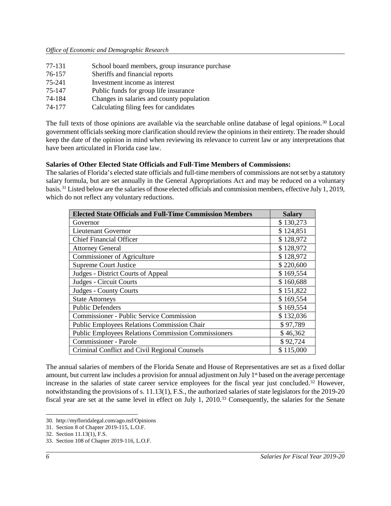| 77-131 | School board members, group insurance purchase |
|--------|------------------------------------------------|
| 76-157 | Sheriffs and financial reports                 |
| 75-241 | Investment income as interest                  |
| 75-147 | Public funds for group life insurance          |
| 74-184 | Changes in salaries and county population      |
| 74-177 | Calculating filing fees for candidates         |

The full texts of those opinions are available via the searchable online database of legal opinions.[30](#page-7-0) Local government officials seeking more clarification should review the opinions in their entirety. The reader should keep the date of the opinion in mind when reviewing its relevance to current law or any interpretations that have been articulated in Florida case law.

### **Salaries of Other Elected State Officials and Full-Time Members of Commissions:**

The salaries of Florida's elected state officials and full-time members of commissions are not set by a statutory salary formula, but are set annually in the General Appropriations Act and may be reduced on a voluntary basis. [31](#page-7-1) Listed below are the salaries of those elected officials and commission members, effective July 1, 2019, which do not reflect any voluntary reductions.

| <b>Elected State Officials and Full-Time Commission Members</b> | <b>Salary</b> |
|-----------------------------------------------------------------|---------------|
| Governor                                                        | \$130,273     |
| Lieutenant Governor                                             | \$124,851     |
| <b>Chief Financial Officer</b>                                  | \$128,972     |
| <b>Attorney General</b>                                         | \$128,972     |
| <b>Commissioner of Agriculture</b>                              | \$128,972     |
| <b>Supreme Court Justice</b>                                    | \$220,600     |
| Judges - District Courts of Appeal                              | \$169,554     |
| Judges - Circuit Courts                                         | \$160,688     |
| Judges - County Courts                                          | \$151,822     |
| <b>State Attorneys</b>                                          | \$169,554     |
| <b>Public Defenders</b>                                         | \$169,554     |
| <b>Commissioner - Public Service Commission</b>                 | \$132,036     |
| <b>Public Employees Relations Commission Chair</b>              | \$97,789      |
| <b>Public Employees Relations Commission Commissioners</b>      | \$46,362      |
| <b>Commissioner - Parole</b>                                    | \$92,724      |
| Criminal Conflict and Civil Regional Counsels                   | \$115,000     |

The annual salaries of members of the Florida Senate and House of Representatives are set as a fixed dollar amount, but current law includes a provision for annual adjustment on July 1<sup>st</sup> based on the average percentage increase in the salaries of state career service employees for the fiscal year just concluded.<sup>[32](#page-7-2)</sup> However, notwithstanding the provisions of s. 11.13(1), F.S., the authorized salaries of state legislators for the 2019-20 fiscal year are set at the same level in effect on July 1, 2010.[33](#page-7-3) Consequently, the salaries for the Senate

<span id="page-7-0"></span><sup>30.</sup> http://myfloridalegal.com/ago.nsf/Opinions

<span id="page-7-1"></span><sup>31.</sup> Section 8 of Chapter 2019-115, L.O.F.

<span id="page-7-2"></span><sup>32.</sup> Section 11.13(1), F.S.

<span id="page-7-3"></span><sup>33.</sup> Section 108 of Chapter 2019-116, L.O.F.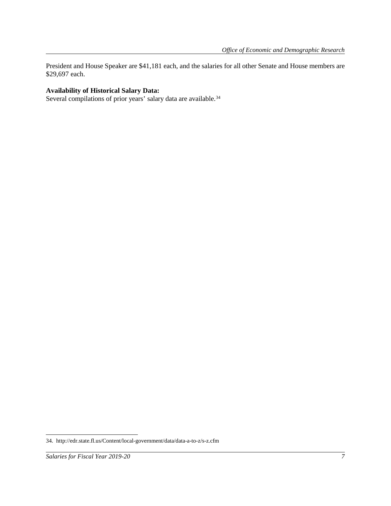President and House Speaker are \$41,181 each, and the salaries for all other Senate and House members are \$29,697 each.

## **Availability of Historical Salary Data:**

Several compilations of prior years' salary data are available.<sup>[34](#page-8-0)</sup>

 $\overline{a}$ 

<span id="page-8-0"></span><sup>34.</sup> http://edr.state.fl.us/Content/local-government/data/data-a-to-z/s-z.cfm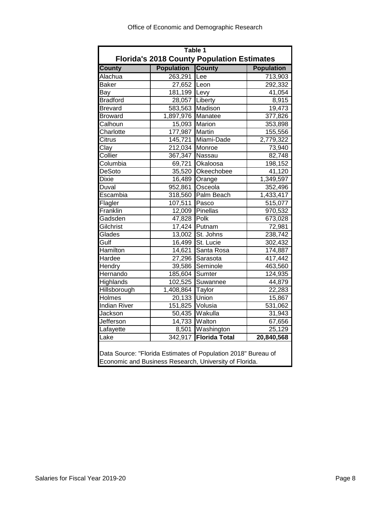| Table 1                                                                                                                 |                                 |                        |                   |  |  |  |  |  |  |  |  |
|-------------------------------------------------------------------------------------------------------------------------|---------------------------------|------------------------|-------------------|--|--|--|--|--|--|--|--|
| <b>Florida's 2018 County Population Estimates</b>                                                                       |                                 |                        |                   |  |  |  |  |  |  |  |  |
| <b>County</b>                                                                                                           | <b>Population</b>               | <b>County</b>          | <b>Population</b> |  |  |  |  |  |  |  |  |
| Alachua                                                                                                                 | 263,291                         | Lee                    | 713,903           |  |  |  |  |  |  |  |  |
| <b>Baker</b>                                                                                                            | 27,652 Leon                     |                        | 292,332           |  |  |  |  |  |  |  |  |
| Bay                                                                                                                     |                                 | 181,199 Levy<br>41,054 |                   |  |  |  |  |  |  |  |  |
| <b>Bradford</b>                                                                                                         | 28,057                          | Liberty                | 8,915             |  |  |  |  |  |  |  |  |
| Brevard                                                                                                                 | 583,563                         | Madison                | 19,473            |  |  |  |  |  |  |  |  |
| <b>Broward</b>                                                                                                          | 1,897,976<br>377,826<br>Manatee |                        |                   |  |  |  |  |  |  |  |  |
| Calhoun                                                                                                                 | 15,093                          | Marion                 | 353,898           |  |  |  |  |  |  |  |  |
| Charlotte                                                                                                               | 177,987                         | Martin                 | 155,556           |  |  |  |  |  |  |  |  |
| Citrus                                                                                                                  | 145,721                         | Miami-Dade             | 2,779,322         |  |  |  |  |  |  |  |  |
| Clay                                                                                                                    | 212,034                         | Monroe                 | 73,940            |  |  |  |  |  |  |  |  |
| Collier                                                                                                                 | 367,347                         | Nassau                 | 82,748            |  |  |  |  |  |  |  |  |
| Columbia                                                                                                                | 69,721                          | Okaloosa               | 198,152           |  |  |  |  |  |  |  |  |
| <b>DeSoto</b>                                                                                                           | 35,520                          | Okeechobee             | 41,120            |  |  |  |  |  |  |  |  |
| Dixie                                                                                                                   | 16,489                          | Orange                 |                   |  |  |  |  |  |  |  |  |
| Duval                                                                                                                   | 952,861                         | 1,349,597<br>Osceola   |                   |  |  |  |  |  |  |  |  |
| Escambia                                                                                                                | 318,560                         | 352,496<br>1,433,417   |                   |  |  |  |  |  |  |  |  |
| Flagler                                                                                                                 | 107,511                         | Pasco<br>515,077       |                   |  |  |  |  |  |  |  |  |
| Franklin                                                                                                                | 12,009                          | Pinellas               | 970,532           |  |  |  |  |  |  |  |  |
| Gadsden                                                                                                                 | 47,828                          | Polk                   | 673,028           |  |  |  |  |  |  |  |  |
| Gilchrist                                                                                                               | 17,424                          | Putnam                 | 72,981            |  |  |  |  |  |  |  |  |
| Glades                                                                                                                  | 13,002                          | St. Johns              | 238,742           |  |  |  |  |  |  |  |  |
| Gulf                                                                                                                    | 16,499                          | St. Lucie              | 302,432           |  |  |  |  |  |  |  |  |
| Hamilton                                                                                                                | 14,621                          | Santa Rosa             | 174,887           |  |  |  |  |  |  |  |  |
| Hardee                                                                                                                  | 27,296                          | Sarasota               | 417,442           |  |  |  |  |  |  |  |  |
| Hendry                                                                                                                  | 39,586                          | Seminole               | 463,560           |  |  |  |  |  |  |  |  |
| Hernando                                                                                                                | 185,604                         | Sumter                 | 124,935           |  |  |  |  |  |  |  |  |
| Highlands                                                                                                               | 102,525                         | Suwannee               | 44,879            |  |  |  |  |  |  |  |  |
| Hillsborough                                                                                                            | 1,408,864                       | <b>Taylor</b>          | 22,283            |  |  |  |  |  |  |  |  |
| <b>Holmes</b>                                                                                                           | 20,133                          | Union                  | 15,867            |  |  |  |  |  |  |  |  |
| <b>Indian River</b>                                                                                                     | 151,825                         | Volusia                | 531,062           |  |  |  |  |  |  |  |  |
| Jackson                                                                                                                 | 50,435                          | Wakulla                | 31,943            |  |  |  |  |  |  |  |  |
| Jefferson                                                                                                               | 14,733                          | Walton                 | 67,656            |  |  |  |  |  |  |  |  |
| Lafayette                                                                                                               | Washington<br>8,501<br>25,129   |                        |                   |  |  |  |  |  |  |  |  |
| <b>Florida Total</b><br>20,840,568<br>342,917<br>Lake                                                                   |                                 |                        |                   |  |  |  |  |  |  |  |  |
| Data Source: "Florida Estimates of Population 2018" Bureau of<br>Economic and Business Research, University of Florida. |                                 |                        |                   |  |  |  |  |  |  |  |  |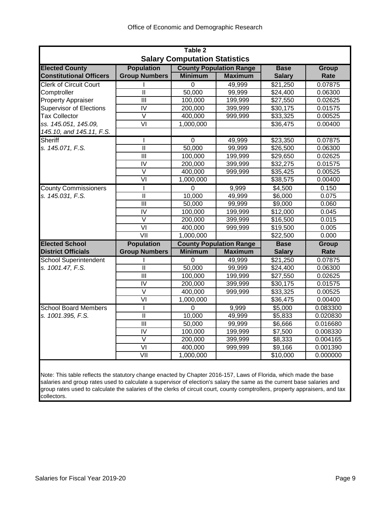| Table 2                              |                           |                |                                |               |          |  |  |  |  |  |  |  |
|--------------------------------------|---------------------------|----------------|--------------------------------|---------------|----------|--|--|--|--|--|--|--|
| <b>Salary Computation Statistics</b> |                           |                |                                |               |          |  |  |  |  |  |  |  |
| <b>Elected County</b>                | <b>Population</b>         |                | <b>County Population Range</b> | <b>Base</b>   | Group    |  |  |  |  |  |  |  |
| <b>Constitutional Officers</b>       | <b>Group Numbers</b>      | <b>Minimum</b> | <b>Maximum</b>                 | <b>Salary</b> | Rate     |  |  |  |  |  |  |  |
| <b>Clerk of Circuit Court</b>        |                           | 0              | 49,999                         | \$21,250      | 0.07875  |  |  |  |  |  |  |  |
| Comptroller                          | $\mathbf{H}$              | 50,000         | 99,999                         | \$24,400      | 0.06300  |  |  |  |  |  |  |  |
| <b>Property Appraiser</b>            | $\overline{\mathsf{III}}$ | 100,000        | 199,999                        | \$27,550      | 0.02625  |  |  |  |  |  |  |  |
| <b>Supervisor of Elections</b>       | $\overline{\text{IV}}$    | 200,000        | 399,999                        | \$30,175      | 0.01575  |  |  |  |  |  |  |  |
| <b>Tax Collector</b>                 | $\overline{\mathsf{v}}$   | 400,000        | 999,999                        | \$33,325      | 0.00525  |  |  |  |  |  |  |  |
| ss. 145.051, 145.09,                 | $\overline{\mathsf{VI}}$  | 1,000,000      |                                | \$36,475      | 0.00400  |  |  |  |  |  |  |  |
| 145.10, and 145.11, F.S.             |                           |                |                                |               |          |  |  |  |  |  |  |  |
| Sheriff                              |                           | $\overline{0}$ | 49,999                         | \$23,350      | 0.07875  |  |  |  |  |  |  |  |
| s. 145.071, F.S.                     | Ш                         | 50,000         | 99,999                         | \$26,500      | 0.06300  |  |  |  |  |  |  |  |
|                                      | $\overline{\mathsf{III}}$ | 100,000        | 199,999                        | \$29,650      | 0.02625  |  |  |  |  |  |  |  |
|                                      | $\overline{\text{IV}}$    | 200,000        | 399,999                        | \$32,275      | 0.01575  |  |  |  |  |  |  |  |
|                                      | V                         | 400,000        | 999,999                        | \$35,425      | 0.00525  |  |  |  |  |  |  |  |
|                                      | $\overline{\mathsf{VI}}$  | 1,000,000      |                                | 38,575        | 0.00400  |  |  |  |  |  |  |  |
| <b>County Commissioners</b>          | I                         | $\Omega$       | 9,999                          | \$4,500       | 0.150    |  |  |  |  |  |  |  |
| s. 145.031, F.S.                     | $\overline{\mathbb{I}}$   | 10,000         | 49,999                         | \$6,000       | 0.075    |  |  |  |  |  |  |  |
|                                      | III                       | 50,000         | 99,999                         | \$9,000       | 0.060    |  |  |  |  |  |  |  |
|                                      | $\overline{N}$            | 100,000        | 199,999                        | \$12,000      | 0.045    |  |  |  |  |  |  |  |
|                                      | $\vee$                    | 200,000        | 399,999                        | \$16,500      | 0.015    |  |  |  |  |  |  |  |
|                                      | $\overline{\mathsf{VI}}$  | 400,000        | 999,999                        | \$19,500      | 0.005    |  |  |  |  |  |  |  |
|                                      | VII                       | 1,000,000      |                                | \$22,500      | 0.000    |  |  |  |  |  |  |  |
| <b>Elected School</b>                | <b>Population</b>         |                | <b>County Population Range</b> | <b>Base</b>   | Group    |  |  |  |  |  |  |  |
| <b>District Officials</b>            | <b>Group Numbers</b>      | <b>Minimum</b> | <b>Maximum</b>                 | <b>Salary</b> | Rate     |  |  |  |  |  |  |  |
| <b>School Superintendent</b>         |                           | 0              | 49,999                         | \$21,250      | 0.07875  |  |  |  |  |  |  |  |
| s. 1001.47, F.S.                     | $\mathbf{I}$              | 50,000         | 99,999                         | \$24,400      | 0.06300  |  |  |  |  |  |  |  |
|                                      | III                       | 100,000        | 199,999                        | \$27,550      | 0.02625  |  |  |  |  |  |  |  |
|                                      | $\overline{\mathsf{IV}}$  | 200,000        | 399,999                        | \$30,175      | 0.01575  |  |  |  |  |  |  |  |
|                                      | $\vee$                    | 400,000        | 999,999                        | \$33,325      | 0.00525  |  |  |  |  |  |  |  |
|                                      | $\overline{\mathsf{v}}$   | 1,000,000      |                                | 36,475        | 0.00400  |  |  |  |  |  |  |  |
| <b>School Board Members</b>          | ı                         | $\Omega$       | 9,999                          | \$5,000       | 0.083300 |  |  |  |  |  |  |  |
| s. 1001.395, F.S.                    | Ш                         | 10,000         | 49,999                         | \$5,833       | 0.020830 |  |  |  |  |  |  |  |
|                                      | $\overline{\mathsf{III}}$ | 50,000         | 99,999                         | \$6,666       | 0.016680 |  |  |  |  |  |  |  |
|                                      | IV                        | 100,000        | 199,999                        | \$7,500       | 0.008330 |  |  |  |  |  |  |  |
|                                      | $\vee$                    | 200,000        | 399,999                        | \$8,333       | 0.004165 |  |  |  |  |  |  |  |
|                                      | $\overline{\mathsf{V}}$   | 400,000        | 999,999                        | \$9,166       | 0.001390 |  |  |  |  |  |  |  |
|                                      | $\overline{\mathsf{V}}$   | 1,000,000      |                                | \$10,000      | 0.000000 |  |  |  |  |  |  |  |
|                                      |                           |                |                                |               |          |  |  |  |  |  |  |  |

Note: This table reflects the statutory change enacted by Chapter 2016-157, Laws of Florida, which made the base salaries and group rates used to calculate a supervisor of election's salary the same as the current base salaries and group rates used to calculate the salaries of the clerks of circuit court, county comptrollers, property appraisers, and tax collectors.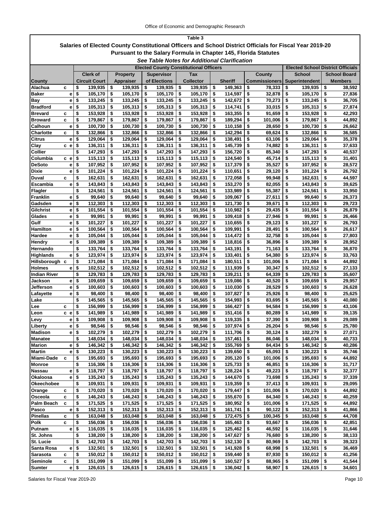| Table 3                                                                                                  |        |                                |                                               |                                              |                                          |                    |          |                    |          |                      |                                          |          |                     |
|----------------------------------------------------------------------------------------------------------|--------|--------------------------------|-----------------------------------------------|----------------------------------------------|------------------------------------------|--------------------|----------|--------------------|----------|----------------------|------------------------------------------|----------|---------------------|
| Salaries of Elected County Constitutional Officers and School District Officials for Fiscal Year 2019-20 |        |                                |                                               |                                              |                                          |                    |          |                    |          |                      |                                          |          |                     |
| <b>Pursuant to the Salary Formula in Chapter 145, Florida Statutes</b>                                   |        |                                |                                               |                                              |                                          |                    |          |                    |          |                      |                                          |          |                     |
|                                                                                                          |        |                                |                                               | See Table Notes for Additional Clarification |                                          |                    |          |                    |          |                      |                                          |          |                     |
|                                                                                                          |        |                                | <b>Elected County Constitutional Officers</b> |                                              | <b>Elected School District Officials</b> |                    |          |                    |          |                      |                                          |          |                     |
|                                                                                                          |        | <b>Clerk of</b>                | <b>Property</b>                               | <b>Supervisor</b>                            |                                          | Tax                |          |                    |          | County               | <b>School</b>                            |          | <b>School Board</b> |
| <b>County</b>                                                                                            |        | <b>Circuit Court</b>           | Appraiser                                     | of Elections                                 |                                          | <b>Collector</b>   |          | <b>Sheriff</b>     |          | <b>Commissioners</b> | <b>Superintendent</b>                    |          | Members             |
| Alachua                                                                                                  | c      | \$<br>139,935                  | \$<br>139,935                                 | \$<br>139,935                                | \$                                       | 139,935            | \$       | 149,363            | \$       | 78,333               | \$<br>139,935                            | \$       | 38,592              |
| Baker                                                                                                    | е      | \$<br>105,170                  | \$<br>105,170                                 | \$<br>105,170                                | \$                                       | 105,170            | \$       | 114,597            | \$       | 32,878               | \$<br>105,170                            | \$       | 27,836              |
| Bay                                                                                                      | е      | \$<br>133,245                  | \$<br>133,245                                 | \$<br>133,245                                | \$                                       | 133,245            | \$       | 142,672            | \$       | 70,273               | \$<br>133,245                            | \$       | 36,705              |
| <b>Bradford</b>                                                                                          | е      | \$<br>105,313                  | \$<br>105,313                                 | \$<br>105,313                                | \$                                       | 105,313            | \$       | 114,741            | \$       | 33,015               | \$<br>105,313                            | \$       | 27,874              |
| Brevard                                                                                                  | с      | \$<br>153,928                  | \$<br>153,928                                 | \$<br>153.928                                | \$                                       | 153,928            | \$       | 163,355            | \$       | 91,659               | \$<br>153,928                            | \$       | 42,293              |
| <b>Broward</b>                                                                                           | c      | \$<br>179,867                  | \$<br>179,867                                 | \$<br>179,867                                | \$                                       | 179,867            | \$       | 189,294            | \$       | 101,006              | \$<br>179,867                            | \$       | 44,892              |
| Calhoun                                                                                                  | е      | \$<br>100,730                  | \$<br>100,730                                 | \$<br>100,730                                | \$                                       | 100,730            | \$       | 110,158            | \$       | 28,650               | \$<br>100,730                            | \$       | 26,662              |
| Charlotte                                                                                                | C      | \$<br>132,866                  | \$<br>132,866                                 | \$<br>132,866                                | \$                                       | 132,866            | \$       | 142,294            | \$       | 69,624               | \$<br>132,866                            | \$       | 36,585              |
| Citrus                                                                                                   | е      | \$<br>129,064                  | \$<br>129,064                                 | \$<br>129,064                                | \$                                       | 129,064            | \$       | 138,491            | \$       | 63,106               | \$<br>129,064                            | \$       | 35,378              |
| Clay                                                                                                     | c e    | \$<br>136,311                  | \$<br>136,311                                 | \$<br>136,311                                | \$                                       | 136,311            | \$       | 145,739            | \$       | 74,882               | \$<br>136,311                            | \$       | 37,633              |
| Collier                                                                                                  |        | \$<br>147,293                  | \$<br>147,293                                 | \$<br>147,293                                | \$                                       | 147,293            | \$       | 156,720            | \$       | 85,340               | \$<br>147,293                            | \$       | 40,537              |
| Columbia                                                                                                 | c e    | \$<br>115,113                  | \$<br>115,113                                 | \$<br>115,113                                | \$                                       | 115,113            | \$       | 124,540            | \$       | 45,714               | \$<br>115,113                            | \$       | 31,401              |
| <b>DeSoto</b>                                                                                            | е      | \$<br>107,952                  | \$<br>107,952                                 | \$<br>107,952                                | \$                                       | 107,952            | \$       | 117,379            | \$       | 35,527               | \$<br>107,952                            | \$       | 28,572              |
| Dixie<br>Duval                                                                                           | е      | \$<br>101,224<br>\$            | \$<br>101,224<br>\$                           | \$<br>101,224                                | \$<br>\$                                 | 101,224            | \$<br>\$ | 110,651            | \$<br>\$ | 29,120               | \$<br>101,224<br>\$                      | \$<br>\$ | 26,792              |
|                                                                                                          | C      | 162,631                        | 162,631<br>143,843                            | \$<br>162,631                                |                                          | 162,631            |          | 172,058            | \$       | 99,948               | 162,631<br>\$                            | \$       | 44,597              |
| Escambia                                                                                                 | е      | \$<br>143,843<br>\$<br>124,561 | \$<br>\$<br>124,561                           | \$<br>143,843<br>124,561<br>\$               | \$<br>\$                                 | 143,843<br>124,561 | \$<br>\$ | 153,270<br>133,989 | \$       | 82,055<br>55,387     | 143,843<br>\$<br>124,561                 | \$       | 39,625<br>33,950    |
| Flagler<br>Franklin                                                                                      | е      | \$<br>99,640                   | \$<br>99,640                                  | \$<br>99.640                                 | \$                                       | 99,640             | \$       | 109,067            | \$       | 27,611               | \$<br>99,640                             | \$       | 26,373              |
| Gadsden                                                                                                  | е      | \$<br>112,303                  | \$<br>112,303                                 | \$<br>112,303                                | \$                                       | 112,303            | \$       | 121,730            | \$       | 39,671               | \$<br>112,303                            | \$       | 29,723              |
| Gilchrist                                                                                                | е      | \$<br>101,554                  | \$<br>101,554                                 | \$<br>101,554                                | \$                                       | 101,554            | \$       | 110,982            | \$       | 29,435               | \$<br>101,554                            | \$       | 26,879              |
| Glades                                                                                                   | е      | \$<br>99,991                   | \$<br>99,991                                  | \$<br>99,991                                 | \$                                       | 99,991             | \$       | 109,418            | \$       | 27,946               | \$<br>99,991                             | \$       | 26,466              |
| Gulf                                                                                                     | е      | \$<br>101,227                  | \$<br>101,227                                 | \$<br>101,227                                | \$                                       | 101,227            | \$       | 110,655            | \$       | 29,123               | \$<br>101,227                            | \$       | 26,793              |
| Hamilton                                                                                                 | е      | \$<br>100,564                  | \$<br>100,564                                 | \$<br>100,564                                | \$                                       | 100,564            | \$       | 109,991            | \$       | 28,491               | \$<br>100,564                            | \$       | 26,617              |
| Hardee                                                                                                   | е      | \$<br>105,044                  | \$<br>105,044                                 | \$<br>105,044                                | \$                                       | 105,044            | \$       | 114,472            | \$       | 32,758               | \$<br>105,044                            | \$       | 27,803              |
| Hendry                                                                                                   | e      | \$<br>109,389                  | \$<br>109,389                                 | \$<br>109,389                                | \$                                       | 109,389            | \$       | 118,816            | \$       | 36,896               | \$<br>109,389                            | \$       | 28,952              |
| Hernando                                                                                                 |        | \$<br>133,764                  | \$<br>133,764                                 | \$<br>133,764                                | \$                                       | 133,764            | \$       | 143,191            | \$       | 71,163               | \$<br>133,764                            | \$       | 36,870              |
| Highlands                                                                                                | е      | \$<br>123,974                  | \$<br>123,974                                 | \$<br>123,974                                | \$                                       | 123,974            | \$       | 133,401            | \$       | 54,380               | \$<br>123,974                            | \$       | 33,763              |
| Hillsborough c                                                                                           |        | \$<br>171,084                  | \$<br>171,084                                 | \$<br>171,084                                | \$                                       | 171,084            | \$       | 180,511            | \$       | 101,006              | \$<br>171,084                            | \$       | 44,892              |
| Holmes                                                                                                   | е      | \$<br>102,512                  | \$<br>102,512                                 | \$<br>102,512                                | \$                                       | 102,512            | \$       | 111,939            | \$       | 30,347               | \$<br>102,512                            | \$       | 27,133              |
| Indian River                                                                                             |        | \$<br>129,783                  | \$<br>129,783                                 | \$<br>129,783                                | \$                                       | 129,783            | \$       | 139,211            | \$       | 64,339               | \$<br>129,783                            | \$       | 35,607              |
| Jackson                                                                                                  | e      | \$<br>109,659                  | \$<br>109,659                                 | \$<br>109,659                                | \$                                       | 109,659            | \$       | 119,086            | \$       | 40,520               | \$<br>109,659                            | \$       | 29,957              |
| Jefferson                                                                                                | е      | \$<br>100,603                  | \$<br>100,603                                 | \$<br>100,603                                | \$                                       | 100,603            | \$       | 110,030            | \$       | 28,529               | \$<br>100,603                            | \$       | 26,628              |
| Lafayette                                                                                                | е      | \$<br>98,400                   | \$<br>98,400                                  | \$<br>98,400                                 | \$                                       | 98,400             | \$       | 107,827            | \$       | 25.926               | \$<br>98,400                             | \$       | 25,625              |
| Lake                                                                                                     |        | \$<br>145,565                  | \$<br>145,565                                 | \$<br>145,565                                | \$                                       | 145,565            | \$       | 154,993            | \$       | 83,695               | \$<br>145,565                            | \$       | 40,080              |
| Lee                                                                                                      | c      | \$<br>156,999                  | \$<br>156,999                                 | \$<br>156,999                                | \$                                       | 156,999            | \$       | 166,427            | \$       | 94,584               | \$<br>156,999                            | \$       | 43,106              |
| ∟eon                                                                                                     | c<br>e | \$<br>141,989                  | \$<br>141,989                                 | \$<br>141,989                                | \$                                       | 141,989            | \$       | 151,416            | \$       | 80,289               | \$<br>141,989                            | \$       | 39,135              |
| Levy                                                                                                     | е      | \$<br>109,908                  | \$<br>109,908                                 | \$<br>109,908                                | \$                                       | 109,908            | \$       | 119,335            | \$       | 37,390               | \$<br>109.908                            | \$       | 29,089              |
| Liberty                                                                                                  | e.     | \$<br>98,546                   | \$<br>98,546                                  | 98,546<br>\$                                 | \$                                       | 98,546             | \$       | 107,974            | \$       | 26,204               | \$<br>98,546                             | \$       | 25,780              |
| <b>Madison</b>                                                                                           | e      | \$<br>102,279                  | 102,279<br>\$                                 | 102,279<br>\$                                | \$                                       | 102,279            | \$       | 111,706            | \$       | 30,124               | 102,279<br>\$                            | \$       | 27,071              |
| <b>Manatee</b>                                                                                           |        | \$<br>148,034                  | 148,034<br>\$                                 | \$<br>148,034                                | \$                                       | 148,034            | \$       | 157,461            | \$       | 86,046               | \$<br>148,034                            | -\$      | 40,733              |
| <b>Marion</b>                                                                                            | е      | \$<br>146,342                  | \$<br>146,342                                 | \$<br>146,342                                | \$                                       | 146,342            | \$       | 155,769            | \$       | 84,434               | 146,342<br>\$                            | \$       | 40,286              |
| Martin                                                                                                   | e      | 130,223<br>-\$                 | 130,223<br>\$                                 | 130,223<br>\$                                | \$                                       | 130,223            | \$       | 139,650            | \$       | 65,093               | 130,223<br>\$                            | l \$     | 35,746              |
| Miami-Dade                                                                                               | c      | \$<br>195,693<br>\$            | \$<br>195,693                                 | \$<br>195,693                                | \$                                       | 195,693            | \$       | 205,120<br>125,733 | \$       | 101,006              | \$<br>$195,693$ \$                       |          | 44,892              |
| Monroe                                                                                                   |        | 116,306<br>\$<br>118,797       | \$<br>116,306<br>118,797<br>\$                | 116,306<br>\$<br>\$<br>118,797               | \$<br>\$                                 | 116,306<br>118,797 | \$<br>\$ | 128,224            | \$<br>\$ | 46,851<br>49,223     | \$<br>$116,306$ \$<br>\$<br>$118,797$ \$ |          | 31,717              |
| Nassau<br>Okaloosa                                                                                       | е<br>е | \$<br>135,243                  | 135,243<br>\$                                 | 135,243<br>\$                                | \$                                       | 135,243            | \$       | 144,670            | \$       | 73,698               | \$<br>135,243                            | -\$      | 32,377<br>37,339    |
| <b>Okeechobee</b>                                                                                        |        | \$<br>109,931                  | \$<br>109,931                                 | \$<br>109,931                                | \$                                       | 109,931            | \$       | 119,359            | \$       | 37,413               | \$<br>109,931                            | \$       | 29,095              |
| Orange                                                                                                   | с      | \$<br>170,020                  | \$<br>170,020                                 | 170,020<br>\$                                | \$                                       | 170,020            | \$       | 179,447            | \$       | 101,006              | 170,020<br>\$                            | -\$      | 44,892              |
| Osceola                                                                                                  | c      | \$<br>146,243                  | 146,243<br>\$                                 | \$<br>146,243                                | \$                                       | 146,243            | \$       | 155,670            | \$       | 84,340               | \$<br>146,243                            | \$       | 40,259              |
| Palm Beach                                                                                               | c      | \$<br>171,525                  | \$<br>171,525                                 | \$<br>171,525                                | \$                                       | 171,525            | \$       | 180,952            | \$       | 101,006              | $171,525$ \$<br>\$                       |          | 44,892              |
| Pasco                                                                                                    | e      | \$<br>152,313                  | \$<br>152,313                                 | \$<br>152,313                                | \$                                       | 152,313            | \$       | 161,741            | \$       | 90,122               | $152,313$ \$<br>\$                       |          | 41,866              |
| Pinellas                                                                                                 | с      | \$<br>163,048                  | \$<br>163,048                                 | \$<br>163,048                                | \$                                       | 163,048            | \$       | 172,475            | \$       | 100,345              | \$<br>163,048                            | \$       | 44,708              |
| Polk                                                                                                     | c      | \$<br>156,036                  | 156,036<br>\$                                 | 156,036<br>\$                                | \$                                       | 156,036            | \$       | 165,463            | \$       | 93,667               | \$<br>156,036                            | \$ ا     | 42,851              |
| Putnam                                                                                                   | e      | \$<br>116,035                  | \$<br>116,035                                 | \$<br>116,035                                | \$                                       | 116,035            | \$       | 125,462            | \$       | 46,592               | 116,035<br>\$                            | l \$     | 31,646              |
| St. Johns                                                                                                |        | 138,200<br>\$                  | \$<br>138,200                                 | \$<br>138,200                                | \$                                       | 138,200            | \$       | 147,627            | \$       | 76,680               | \$<br>138,200                            | -\$      | 38,133              |
| St. Lucie                                                                                                |        | 142,703<br>\$                  | \$<br>142,703                                 | \$<br>142,703                                | \$                                       | 142,703            | \$       | 152,130            | \$       | 80,969               | $142,703$ \$<br>\$                       |          | 39,323              |
| Santa Rosa                                                                                               | е      | \$<br>132,501                  | 132,501<br>\$                                 | 132,501<br>\$                                | \$                                       | 132,501            | \$       | 141,928            | \$       | 68,998               | 132,501<br>\$                            | \$       | 36,469              |
| Sarasota                                                                                                 | c      | \$<br>150,012                  | \$<br>150,012                                 | 150,012<br>\$                                | \$                                       | 150,012            | \$       | 159,440            | \$       | 87,930               | 150,012<br>\$                            | \$       | 41,256              |
| <b>Seminole</b>                                                                                          | C      | \$<br>151,099                  | \$<br>$151,099$ \$                            | 151,099                                      | \$                                       | 151,099            | \$       | 160,527            | \$       | 88,965               | \$<br>151,099                            | \$       | 41,544              |
| <b>Sumter</b>                                                                                            |        | e <sub>s</sub><br>$126,615$ \$ | $126,615$ \$                                  | $126,615$ \$                                 |                                          | $126,615$ \$       |          | 136,042 \$         |          | 58,907               | \$<br>$126,615$ \$                       |          | 34,601              |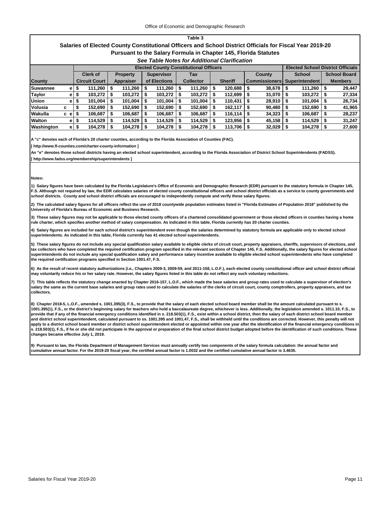#### **Salaries of Elected County Constitutional Officers and School District Officials for Fiscal Year 2019-20 Pursuant to the Salary Formula in Chapter 145, Florida Statutes**

#### *See Table Notes for Additional Clarification*

|                 |      | <b>Elected County Constitutional Officers</b> |                      |      |                 |  |                   |  |                  |                |         |                      |                     |                | <b>Elected School District Officials</b> |                |                     |  |
|-----------------|------|-----------------------------------------------|----------------------|------|-----------------|--|-------------------|--|------------------|----------------|---------|----------------------|---------------------|----------------|------------------------------------------|----------------|---------------------|--|
|                 |      |                                               | <b>Clerk of</b>      |      | <b>Property</b> |  | <b>Supervisor</b> |  | Tax              |                |         |                      | County              |                | <b>School</b>                            |                | <b>School Board</b> |  |
| <b>County</b>   |      |                                               | <b>Circuit Court</b> |      | Appraiser       |  | of Elections      |  | <b>Collector</b> | <b>Sheriff</b> |         | <b>Commissioners</b> |                     | Superintendent |                                          | <b>Members</b> |                     |  |
| <b>Suwannee</b> | e l  | ъ                                             | 111,260              | l Si | 111,260         |  | 111,260           |  | 111,260          |                | 120.688 | - 56                 | 38.678              |                | 111,260                                  |                | 29.447              |  |
| <b>Taylor</b>   | e    | จ                                             | 103,272              |      | 103,272         |  | 103,272           |  | 103,272          |                | 112,699 |                      | 31,070              |                | 103,272                                  |                | 27,334              |  |
| <b>Union</b>    | e    | ъ                                             | 101.004              |      | 101.004         |  | 101,004           |  | 101.004          |                | 110.431 |                      | $28.910$ $\sqrt{5}$ |                | 101,004                                  |                | 26,734              |  |
| Volusia         | с    |                                               | 152,690              |      | 152,690         |  | 152,690           |  | 152,690          |                | 162,117 |                      | $90.480$            |                | 152,690                                  |                | 41,965              |  |
| <b>Wakulla</b>  | c el |                                               | 106.687              |      | 106.687         |  | 106,687           |  | 106.687          |                | 116.114 |                      | 34.323              |                | 106.687                                  |                | 28,237              |  |
| <b>Walton</b>   | e۱   | Ð                                             | 114,529              |      | 114,529         |  | 114,529           |  | 114,529          |                | 123,956 |                      | 45,158              |                | 114,529                                  |                | 31.247              |  |
| Washington      | e.   | \$                                            | 104,278              |      | 104,278         |  | 104,278           |  | 104,278          |                | 113,706 |                      | 32,029              |                | 104,278                                  |                | 27,600              |  |

**A "c" denotes each of Florida's 20 charter counties, according to the Florida Association of Counties (FAC).**

**[ http://www.fl-counties.com/charter-county-information ]**

**An "e" denotes those school districts having an elected school superintendent, according to the Florida Association of District School Superintendents (FADSS).**

**[ http://www.fadss.org/membership/superintendents ]**

#### **Notes:**

**1) Salary figures have been calculated by the Florida Legislature's Office of Economic and Demographic Research (EDR) pursuant to the statutory formula in Chapter 145, F.S. Although not required by law, the EDR calculates salaries of elected county constitutional officers and school district officials as a service to county governments and school districts. County and school district officials are encouraged to independently compute and verify these salary figures.**

**2) The calculated salary figures for all officers reflect the use of 2018 countywide population estimates listed in "Florida Estimates of Population 2018" published by the University of Florida's Bureau of Economic and Business Research.**

**3) These salary figures may not be applicable to those elected county officers of a chartered consolidated government or those elected officers in counties having a home rule charter, which specifies another method of salary compensation. As indicated in this table, Florida currently has 20 charter counties.**

**4) Salary figures are included for each school district's superintendent even though the salaries determined by statutory formula are applicable only to elected school superintendents. As indicated in this table, Florida currently has 41 elected school superintendents.**

**5) These salary figures do not include any special qualification salary available to eligible clerks of circuit court, property appraisers, sheriffs, supervisors of elections, and tax collectors who have completed the required certification program specified in the relevant sections of Chapter 145, F.S. Additionally, the salary figures for elected school superintendents do not include any special qualification salary and performance salary incentive available to eligible elected school superintendents who have completed the required certification programs specified in Section 1001.47, F.S.**

**6) As the result of recent statutory authorizations (i.e., Chapters 2009-3, 2009-59, and 2011-158, L.O.F.), each elected county constitutional officer and school district official may voluntarily reduce his or her salary rate. However, the salary figures listed in this table do not reflect any such voluntary reductions.**

**7) This table reflects the statutory change enacted by Chapter 2016-157, L.O.F., which made the base salaries and group rates used to calculate a supervisor of election's salary the same as the current base salaries and group rates used to calculate the salaries of the clerks of circuit court, county comptrollers, property appraisers, and tax collectors.**

**8) Chapter 2018-5, L.O.F., amended s. 1001.395(3), F.S., to provide that the salary of each elected school board member shall be the amount calculated pursuant to s. 1001.395(1), F.S., or the district's beginning salary for teachers who hold a baccalaureate degree, whichever is less. Additionally, the legislation amended s. 1011.10, F.S., to provide that if any of the financial emergency conditions identified in s. 218.503(1), F.S., exist within a school district, then the salary of each district school board member**  .<br>and district school superintendent, calculated pursuant to ss. 1001.395 and 1001.47, F.S., shall be withheld until the conditions are corrected. However, this penalty will not **apply to a district school board member or district school superintendent elected or appointed within one year after the identification of the financial emergency conditions in s. 218.503(1), F.S., if he or she did not participate in the approval or preparation of the final school district budget adopted before the identification of such conditions. These changes became effective July 1, 2019.**

**9) Pursuant to law, the Florida Department of Management Services must annually certify two components of the salary formula calculation: the annual factor and cumulative annual factor. For the 2019-20 fiscal year, the certified annual factor is 1.0032 and the certified cumulative annual factor is 3.4635.**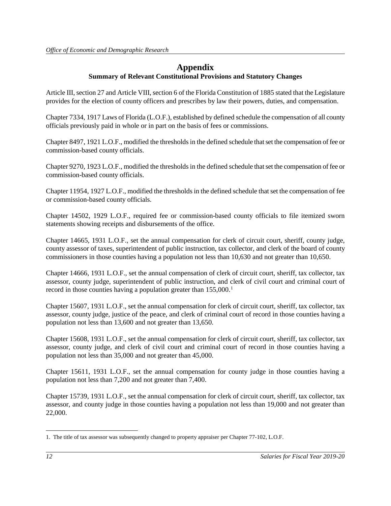# **Appendix**

## **Summary of Relevant Constitutional Provisions and Statutory Changes**

Article III, section 27 and Article VIII, section 6 of the Florida Constitution of 1885 stated that the Legislature provides for the election of county officers and prescribes by law their powers, duties, and compensation.

Chapter 7334, 1917 Laws of Florida (L.O.F.), established by defined schedule the compensation of all county officials previously paid in whole or in part on the basis of fees or commissions.

Chapter 8497, 1921 L.O.F., modified the thresholds in the defined schedule that set the compensation of fee or commission-based county officials.

Chapter 9270, 1923 L.O.F., modified the thresholds in the defined schedule that set the compensation of fee or commission-based county officials.

Chapter 11954, 1927 L.O.F., modified the thresholds in the defined schedule that set the compensation of fee or commission-based county officials.

Chapter 14502, 1929 L.O.F., required fee or commission-based county officials to file itemized sworn statements showing receipts and disbursements of the office.

Chapter 14665, 1931 L.O.F., set the annual compensation for clerk of circuit court, sheriff, county judge, county assessor of taxes, superintendent of public instruction, tax collector, and clerk of the board of county commissioners in those counties having a population not less than 10,630 and not greater than 10,650.

Chapter 14666, 1931 L.O.F., set the annual compensation of clerk of circuit court, sheriff, tax collector, tax assessor, county judge, superintendent of public instruction, and clerk of civil court and criminal court of record in those counties having a population greater than  $155,000$  $155,000$ .<sup>1</sup>

Chapter 15607, 1931 L.O.F., set the annual compensation for clerk of circuit court, sheriff, tax collector, tax assessor, county judge, justice of the peace, and clerk of criminal court of record in those counties having a population not less than 13,600 and not greater than 13,650.

Chapter 15608, 1931 L.O.F., set the annual compensation for clerk of circuit court, sheriff, tax collector, tax assessor, county judge, and clerk of civil court and criminal court of record in those counties having a population not less than 35,000 and not greater than 45,000.

Chapter 15611, 1931 L.O.F., set the annual compensation for county judge in those counties having a population not less than 7,200 and not greater than 7,400.

Chapter 15739, 1931 L.O.F., set the annual compensation for clerk of circuit court, sheriff, tax collector, tax assessor, and county judge in those counties having a population not less than 19,000 and not greater than 22,000.

<span id="page-13-0"></span> $\overline{a}$ 1. The title of tax assessor was subsequently changed to property appraiser per Chapter 77-102, L.O.F.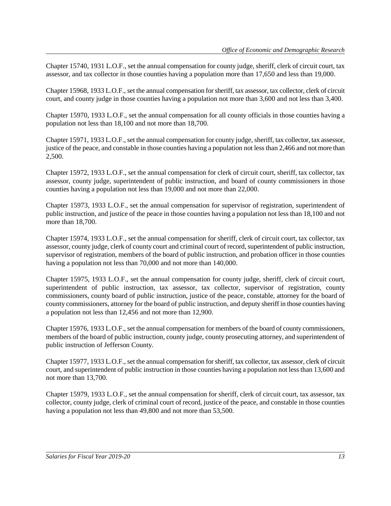Chapter 15740, 1931 L.O.F., set the annual compensation for county judge, sheriff, clerk of circuit court, tax assessor, and tax collector in those counties having a population more than 17,650 and less than 19,000.

Chapter 15968, 1933 L.O.F., set the annual compensation for sheriff, tax assessor, tax collector, clerk of circuit court, and county judge in those counties having a population not more than 3,600 and not less than 3,400.

Chapter 15970, 1933 L.O.F., set the annual compensation for all county officials in those counties having a population not less than 18,100 and not more than 18,700.

Chapter 15971, 1933 L.O.F., set the annual compensation for county judge, sheriff, tax collector, tax assessor, justice of the peace, and constable in those counties having a population not less than 2,466 and not more than 2,500.

Chapter 15972, 1933 L.O.F., set the annual compensation for clerk of circuit court, sheriff, tax collector, tax assessor, county judge, superintendent of public instruction, and board of county commissioners in those counties having a population not less than 19,000 and not more than 22,000.

Chapter 15973, 1933 L.O.F., set the annual compensation for supervisor of registration, superintendent of public instruction, and justice of the peace in those counties having a population not less than 18,100 and not more than 18,700.

Chapter 15974, 1933 L.O.F., set the annual compensation for sheriff, clerk of circuit court, tax collector, tax assessor, county judge, clerk of county court and criminal court of record, superintendent of public instruction, supervisor of registration, members of the board of public instruction, and probation officer in those counties having a population not less than 70,000 and not more than 140,000.

Chapter 15975, 1933 L.O.F., set the annual compensation for county judge, sheriff, clerk of circuit court, superintendent of public instruction, tax assessor, tax collector, supervisor of registration, county commissioners, county board of public instruction, justice of the peace, constable, attorney for the board of county commissioners, attorney for the board of public instruction, and deputy sheriff in those counties having a population not less than 12,456 and not more than 12,900.

Chapter 15976, 1933 L.O.F., set the annual compensation for members of the board of county commissioners, members of the board of public instruction, county judge, county prosecuting attorney, and superintendent of public instruction of Jefferson County.

Chapter 15977, 1933 L.O.F., set the annual compensation for sheriff, tax collector, tax assessor, clerk of circuit court, and superintendent of public instruction in those counties having a population not less than 13,600 and not more than 13,700.

Chapter 15979, 1933 L.O.F., set the annual compensation for sheriff, clerk of circuit court, tax assessor, tax collector, county judge, clerk of criminal court of record, justice of the peace, and constable in those counties having a population not less than 49,800 and not more than 53,500.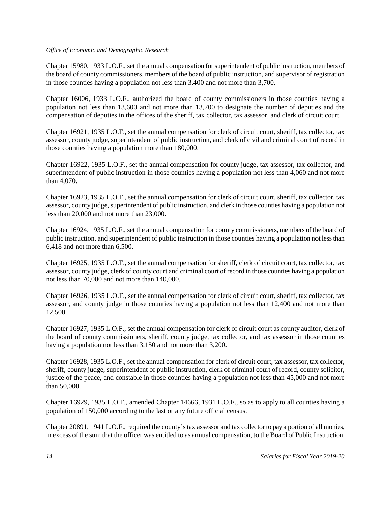Chapter 15980, 1933 L.O.F., set the annual compensation for superintendent of public instruction, members of the board of county commissioners, members of the board of public instruction, and supervisor of registration in those counties having a population not less than 3,400 and not more than 3,700.

Chapter 16006, 1933 L.O.F., authorized the board of county commissioners in those counties having a population not less than 13,600 and not more than 13,700 to designate the number of deputies and the compensation of deputies in the offices of the sheriff, tax collector, tax assessor, and clerk of circuit court.

Chapter 16921, 1935 L.O.F., set the annual compensation for clerk of circuit court, sheriff, tax collector, tax assessor, county judge, superintendent of public instruction, and clerk of civil and criminal court of record in those counties having a population more than 180,000.

Chapter 16922, 1935 L.O.F., set the annual compensation for county judge, tax assessor, tax collector, and superintendent of public instruction in those counties having a population not less than 4,060 and not more than 4,070.

Chapter 16923, 1935 L.O.F., set the annual compensation for clerk of circuit court, sheriff, tax collector, tax assessor, county judge, superintendent of public instruction, and clerk in those counties having a population not less than 20,000 and not more than 23,000.

Chapter 16924, 1935 L.O.F., set the annual compensation for county commissioners, members of the board of public instruction, and superintendent of public instruction in those counties having a population not less than 6,418 and not more than 6,500.

Chapter 16925, 1935 L.O.F., set the annual compensation for sheriff, clerk of circuit court, tax collector, tax assessor, county judge, clerk of county court and criminal court of record in those counties having a population not less than 70,000 and not more than 140,000.

Chapter 16926, 1935 L.O.F., set the annual compensation for clerk of circuit court, sheriff, tax collector, tax assessor, and county judge in those counties having a population not less than 12,400 and not more than 12,500.

Chapter 16927, 1935 L.O.F., set the annual compensation for clerk of circuit court as county auditor, clerk of the board of county commissioners, sheriff, county judge, tax collector, and tax assessor in those counties having a population not less than 3,150 and not more than 3,200.

Chapter 16928, 1935 L.O.F., set the annual compensation for clerk of circuit court, tax assessor, tax collector, sheriff, county judge, superintendent of public instruction, clerk of criminal court of record, county solicitor, justice of the peace, and constable in those counties having a population not less than 45,000 and not more than 50,000.

Chapter 16929, 1935 L.O.F., amended Chapter 14666, 1931 L.O.F., so as to apply to all counties having a population of 150,000 according to the last or any future official census.

Chapter 20891, 1941 L.O.F., required the county's tax assessor and tax collector to pay a portion of all monies, in excess of the sum that the officer was entitled to as annual compensation, to the Board of Public Instruction.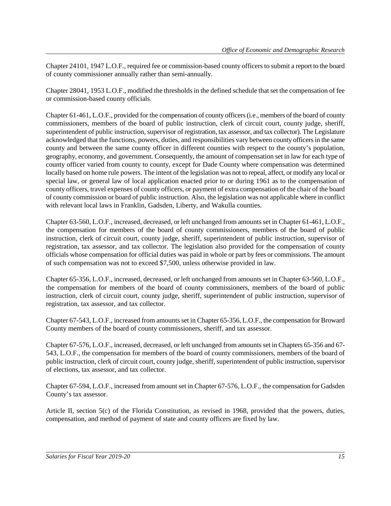Chapter 24101, 1947 L.O.F., required fee or commission-based county officers to submit a report to the board of county commissioner annually rather than semi-annually.

Chapter 28041, 1953 L.O.F., modified the thresholds in the defined schedule that set the compensation of fee or commission-based county officials.

Chapter 61-461, L.O.F., provided for the compensation of county officers(i.e., members of the board of county commissioners, members of the board of public instruction, clerk of circuit court, county judge, sheriff, superintendent of public instruction, supervisor of registration, tax assessor, and tax collector). The Legislature acknowledged that the functions, powers, duties, and responsibilities vary between county officers in the same county and between the same county officer in different counties with respect to the county's population, geography, economy, and government. Consequently, the amount of compensation set in law for each type of county officer varied from county to county, except for Dade County where compensation was determined locally based on home rule powers. The intent of the legislation was not to repeal, affect, or modify any local or special law, or general law of local application enacted prior to or during 1961 as to the compensation of county officers, travel expenses of county officers, or payment of extra compensation of the chair of the board of county commission or board of public instruction. Also, the legislation was not applicable where in conflict with relevant local laws in Franklin, Gadsden, Liberty, and Wakulla counties.

Chapter 63-560, L.O.F., increased, decreased, or left unchanged from amounts set in Chapter 61-461, L.O.F., the compensation for members of the board of county commissioners, members of the board of public instruction, clerk of circuit court, county judge, sheriff, superintendent of public instruction, supervisor of registration, tax assessor, and tax collector. The legislation also provided for the compensation of county officials whose compensation for official duties was paid in whole or part by fees or commissions. The amount of such compensation was not to exceed \$7,500, unless otherwise provided in law.

Chapter 65-356, L.O.F., increased, decreased, or left unchanged from amounts set in Chapter 63-560, L.O.F., the compensation for members of the board of county commissioners, members of the board of public instruction, clerk of circuit court, county judge, sheriff, superintendent of public instruction, supervisor of registration, tax assessor, and tax collector.

Chapter 67-543, L.O.F., increased from amounts set in Chapter 65-356, L.O.F., the compensation for Broward County members of the board of county commissioners, sheriff, and tax assessor.

Chapter 67-576, L.O.F., increased, decreased, or left unchanged from amounts set in Chapters 65-356 and 67- 543, L.O.F., the compensation for members of the board of county commissioners, members of the board of public instruction, clerk of circuit court, county judge, sheriff, superintendent of public instruction, supervisor of elections, tax assessor, and tax collector.

Chapter 67-594, L.O.F., increased from amount set in Chapter 67-576, L.O.F., the compensation for Gadsden County's tax assessor.

Article II, section 5(c) of the Florida Constitution, as revised in 1968, provided that the powers, duties, compensation, and method of payment of state and county officers are fixed by law.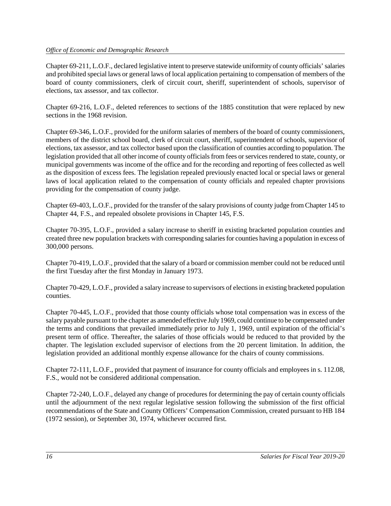#### *Office of Economic and Demographic Research*

Chapter 69-211, L.O.F., declared legislative intent to preserve statewide uniformity of county officials' salaries and prohibited special laws or general laws of local application pertaining to compensation of members of the board of county commissioners, clerk of circuit court, sheriff, superintendent of schools, supervisor of elections, tax assessor, and tax collector.

Chapter 69-216, L.O.F., deleted references to sections of the 1885 constitution that were replaced by new sections in the 1968 revision.

Chapter 69-346, L.O.F., provided for the uniform salaries of members of the board of county commissioners, members of the district school board, clerk of circuit court, sheriff, superintendent of schools, supervisor of elections, tax assessor, and tax collector based upon the classification of counties according to population. The legislation provided that all other income of county officials from fees or services rendered to state, county, or municipal governments was income of the office and for the recording and reporting of fees collected as well as the disposition of excess fees. The legislation repealed previously enacted local or special laws or general laws of local application related to the compensation of county officials and repealed chapter provisions providing for the compensation of county judge.

Chapter 69-403, L.O.F., provided for the transfer of the salary provisions of county judge from Chapter 145 to Chapter 44, F.S., and repealed obsolete provisions in Chapter 145, F.S.

Chapter 70-395, L.O.F., provided a salary increase to sheriff in existing bracketed population counties and created three new population brackets with corresponding salaries for counties having a population in excess of 300,000 persons.

Chapter 70-419, L.O.F., provided that the salary of a board or commission member could not be reduced until the first Tuesday after the first Monday in January 1973.

Chapter 70-429, L.O.F., provided a salary increase to supervisors of elections in existing bracketed population counties.

Chapter 70-445, L.O.F., provided that those county officials whose total compensation was in excess of the salary payable pursuant to the chapter as amended effective July 1969, could continue to be compensated under the terms and conditions that prevailed immediately prior to July 1, 1969, until expiration of the official's present term of office. Thereafter, the salaries of those officials would be reduced to that provided by the chapter. The legislation excluded supervisor of elections from the 20 percent limitation. In addition, the legislation provided an additional monthly expense allowance for the chairs of county commissions.

Chapter 72-111, L.O.F., provided that payment of insurance for county officials and employees in s. 112.08, F.S., would not be considered additional compensation.

Chapter 72-240, L.O.F., delayed any change of procedures for determining the pay of certain county officials until the adjournment of the next regular legislative session following the submission of the first official recommendations of the State and County Officers' Compensation Commission, created pursuant to HB 184 (1972 session), or September 30, 1974, whichever occurred first.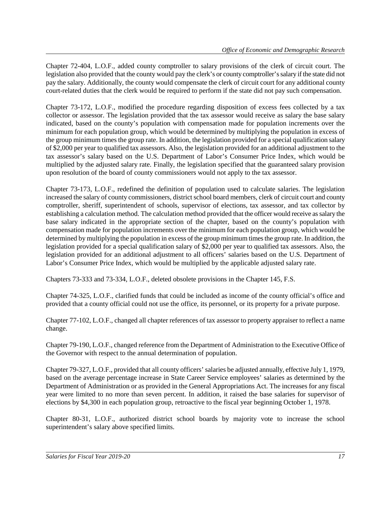Chapter 72-404, L.O.F., added county comptroller to salary provisions of the clerk of circuit court. The legislation also provided that the county would pay the clerk's or county comptroller's salary if the state did not pay the salary. Additionally, the county would compensate the clerk of circuit court for any additional county court-related duties that the clerk would be required to perform if the state did not pay such compensation.

Chapter 73-172, L.O.F., modified the procedure regarding disposition of excess fees collected by a tax collector or assessor. The legislation provided that the tax assessor would receive as salary the base salary indicated, based on the county's population with compensation made for population increments over the minimum for each population group, which would be determined by multiplying the population in excess of the group minimum times the group rate. In addition, the legislation provided for a special qualification salary of \$2,000 per year to qualified tax assessors. Also, the legislation provided for an additional adjustment to the tax assessor's salary based on the U.S. Department of Labor's Consumer Price Index, which would be multiplied by the adjusted salary rate. Finally, the legislation specified that the guaranteed salary provision upon resolution of the board of county commissioners would not apply to the tax assessor.

Chapter 73-173, L.O.F., redefined the definition of population used to calculate salaries. The legislation increased the salary of county commissioners, district school board members, clerk of circuit court and county comptroller, sheriff, superintendent of schools, supervisor of elections, tax assessor, and tax collector by establishing a calculation method. The calculation method provided that the officer would receive as salary the base salary indicated in the appropriate section of the chapter, based on the county's population with compensation made for population increments over the minimum for each population group, which would be determined by multiplying the population in excess of the group minimum times the group rate. In addition, the legislation provided for a special qualification salary of \$2,000 per year to qualified tax assessors. Also, the legislation provided for an additional adjustment to all officers' salaries based on the U.S. Department of Labor's Consumer Price Index, which would be multiplied by the applicable adjusted salary rate.

Chapters 73-333 and 73-334, L.O.F., deleted obsolete provisions in the Chapter 145, F.S.

Chapter 74-325, L.O.F., clarified funds that could be included as income of the county official's office and provided that a county official could not use the office, its personnel, or its property for a private purpose.

Chapter 77-102, L.O.F., changed all chapter references of tax assessor to property appraiser to reflect a name change.

Chapter 79-190, L.O.F., changed reference from the Department of Administration to the Executive Office of the Governor with respect to the annual determination of population.

Chapter 79-327, L.O.F., provided that all county officers' salaries be adjusted annually, effective July 1, 1979, based on the average percentage increase in State Career Service employees' salaries as determined by the Department of Administration or as provided in the General Appropriations Act. The increases for any fiscal year were limited to no more than seven percent. In addition, it raised the base salaries for supervisor of elections by \$4,300 in each population group, retroactive to the fiscal year beginning October 1, 1978.

Chapter 80-31, L.O.F., authorized district school boards by majority vote to increase the school superintendent's salary above specified limits.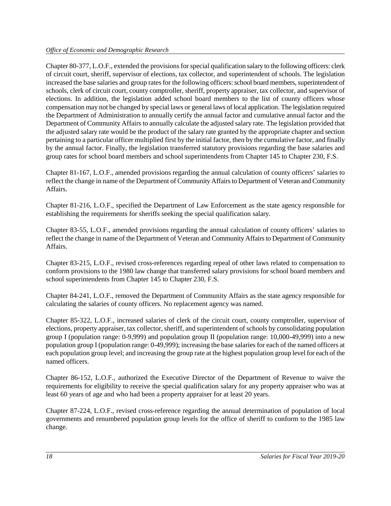Chapter 80-377, L.O.F., extended the provisions for special qualification salary to the following officers: clerk of circuit court, sheriff, supervisor of elections, tax collector, and superintendent of schools. The legislation increased the base salaries and group rates for the following officers: school board members, superintendent of schools, clerk of circuit court, county comptroller, sheriff, property appraiser, tax collector, and supervisor of elections. In addition, the legislation added school board members to the list of county officers whose compensation may not be changed by special laws or general laws of local application. The legislation required the Department of Administration to annually certify the annual factor and cumulative annual factor and the Department of Community Affairs to annually calculate the adjusted salary rate. The legislation provided that the adjusted salary rate would be the product of the salary rate granted by the appropriate chapter and section pertaining to a particular officer multiplied first by the initial factor, then by the cumulative factor, and finally by the annual factor. Finally, the legislation transferred statutory provisions regarding the base salaries and group rates for school board members and school superintendents from Chapter 145 to Chapter 230, F.S.

Chapter 81-167, L.O.F., amended provisions regarding the annual calculation of county officers' salaries to reflect the change in name of the Department of Community Affairs to Department of Veteran and Community Affairs.

Chapter 81-216, L.O.F., specified the Department of Law Enforcement as the state agency responsible for establishing the requirements for sheriffs seeking the special qualification salary.

Chapter 83-55, L.O.F., amended provisions regarding the annual calculation of county officers' salaries to reflect the change in name of the Department of Veteran and Community Affairs to Department of Community Affairs.

Chapter 83-215, L.O.F., revised cross-references regarding repeal of other laws related to compensation to conform provisions to the 1980 law change that transferred salary provisions for school board members and school superintendents from Chapter 145 to Chapter 230, F.S.

Chapter 84-241, L.O.F., removed the Department of Community Affairs as the state agency responsible for calculating the salaries of county officers. No replacement agency was named.

Chapter 85-322, L.O.F., increased salaries of clerk of the circuit court, county comptroller, supervisor of elections, property appraiser, tax collector, sheriff, and superintendent of schools by consolidating population group I (population range: 0-9,999) and population group II (population range: 10,000-49,999) into a new population group I (population range: 0-49,999); increasing the base salaries for each of the named officers at each population group level; and increasing the group rate at the highest population group level for each of the named officers.

Chapter 86-152, L.O.F., authorized the Executive Director of the Department of Revenue to waive the requirements for eligibility to receive the special qualification salary for any property appraiser who was at least 60 years of age and who had been a property appraiser for at least 20 years.

Chapter 87-224, L.O.F., revised cross-reference regarding the annual determination of population of local governments and renumbered population group levels for the office of sheriff to conform to the 1985 law change.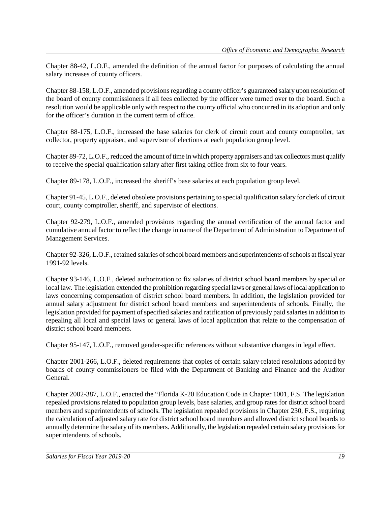Chapter 88-42, L.O.F., amended the definition of the annual factor for purposes of calculating the annual salary increases of county officers.

Chapter 88-158, L.O.F., amended provisions regarding a county officer's guaranteed salary upon resolution of the board of county commissioners if all fees collected by the officer were turned over to the board. Such a resolution would be applicable only with respect to the county official who concurred in its adoption and only for the officer's duration in the current term of office.

Chapter 88-175, L.O.F., increased the base salaries for clerk of circuit court and county comptroller, tax collector, property appraiser, and supervisor of elections at each population group level.

Chapter 89-72, L.O.F., reduced the amount of time in which property appraisers and tax collectors must qualify to receive the special qualification salary after first taking office from six to four years.

Chapter 89-178, L.O.F., increased the sheriff's base salaries at each population group level.

Chapter 91-45, L.O.F., deleted obsolete provisions pertaining to special qualification salary for clerk of circuit court, county comptroller, sheriff, and supervisor of elections.

Chapter 92-279, L.O.F., amended provisions regarding the annual certification of the annual factor and cumulative annual factor to reflect the change in name of the Department of Administration to Department of Management Services.

Chapter 92-326, L.O.F., retained salaries of school board members and superintendents of schools at fiscal year 1991-92 levels.

Chapter 93-146, L.O.F., deleted authorization to fix salaries of district school board members by special or local law. The legislation extended the prohibition regarding special laws or general laws of local application to laws concerning compensation of district school board members. In addition, the legislation provided for annual salary adjustment for district school board members and superintendents of schools. Finally, the legislation provided for payment of specified salaries and ratification of previously paid salaries in addition to repealing all local and special laws or general laws of local application that relate to the compensation of district school board members.

Chapter 95-147, L.O.F., removed gender-specific references without substantive changes in legal effect.

Chapter 2001-266, L.O.F., deleted requirements that copies of certain salary-related resolutions adopted by boards of county commissioners be filed with the Department of Banking and Finance and the Auditor General.

Chapter 2002-387, L.O.F., enacted the "Florida K-20 Education Code in Chapter 1001, F.S. The legislation repealed provisions related to population group levels, base salaries, and group rates for district school board members and superintendents of schools. The legislation repealed provisions in Chapter 230, F.S., requiring the calculation of adjusted salary rate for district school board members and allowed district school boards to annually determine the salary of its members. Additionally, the legislation repealed certain salary provisions for superintendents of schools.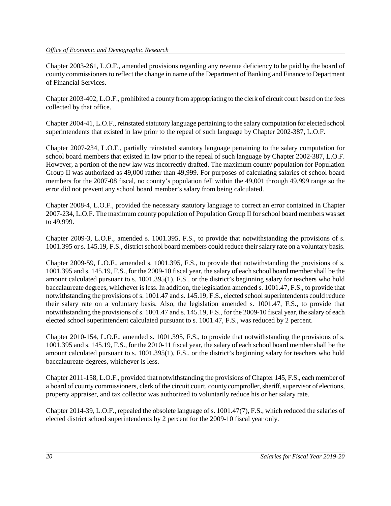#### *Office of Economic and Demographic Research*

Chapter 2003-261, L.O.F., amended provisions regarding any revenue deficiency to be paid by the board of county commissioners to reflect the change in name of the Department of Banking and Finance to Department of Financial Services.

Chapter 2003-402, L.O.F., prohibited a county from appropriating to the clerk of circuit court based on the fees collected by that office.

Chapter 2004-41, L.O.F., reinstated statutory language pertaining to the salary computation for elected school superintendents that existed in law prior to the repeal of such language by Chapter 2002-387, L.O.F.

Chapter 2007-234, L.O.F., partially reinstated statutory language pertaining to the salary computation for school board members that existed in law prior to the repeal of such language by Chapter 2002-387, L.O.F. However, a portion of the new law was incorrectly drafted. The maximum county population for Population Group II was authorized as 49,000 rather than 49,999. For purposes of calculating salaries of school board members for the 2007-08 fiscal, no county's population fell within the 49,001 through 49,999 range so the error did not prevent any school board member's salary from being calculated.

Chapter 2008-4, L.O.F., provided the necessary statutory language to correct an error contained in Chapter 2007-234, L.O.F. The maximum county population of Population Group II for school board members was set to 49,999.

Chapter 2009-3, L.O.F., amended s. 1001.395, F.S., to provide that notwithstanding the provisions of s. 1001.395 or s. 145.19, F.S., district school board members could reduce their salary rate on a voluntary basis.

Chapter 2009-59, L.O.F., amended s. 1001.395, F.S., to provide that notwithstanding the provisions of s. 1001.395 and s. 145.19, F.S., for the 2009-10 fiscal year, the salary of each school board membershall be the amount calculated pursuant to s. 1001.395(1), F.S., or the district's beginning salary for teachers who hold baccalaureate degrees, whichever is less. In addition, the legislation amended s. 1001.47, F.S., to provide that notwithstanding the provisions of s. 1001.47 and s. 145.19, F.S., elected school superintendents could reduce their salary rate on a voluntary basis. Also, the legislation amended s. 1001.47, F.S., to provide that notwithstanding the provisions of s. 1001.47 and s. 145.19, F.S., for the 2009-10 fiscal year, the salary of each elected school superintendent calculated pursuant to s. 1001.47, F.S., was reduced by 2 percent.

Chapter 2010-154, L.O.F., amended s. 1001.395, F.S., to provide that notwithstanding the provisions of s. 1001.395 and s. 145.19, F.S., for the 2010-11 fiscal year, the salary of each school board member shall be the amount calculated pursuant to s. 1001.395(1), F.S., or the district's beginning salary for teachers who hold baccalaureate degrees, whichever is less.

Chapter 2011-158, L.O.F., provided that notwithstanding the provisions of Chapter 145, F.S., each member of a board of county commissioners, clerk of the circuit court, county comptroller, sheriff, supervisor of elections, property appraiser, and tax collector was authorized to voluntarily reduce his or her salary rate.

Chapter 2014-39, L.O.F., repealed the obsolete language of s. 1001.47(7), F.S., which reduced the salaries of elected district school superintendents by 2 percent for the 2009-10 fiscal year only.